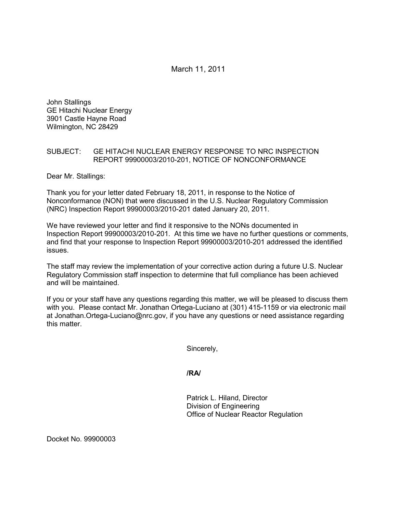March 11, 2011

John Stallings GE Hitachi Nuclear Energy 3901 Castle Hayne Road Wilmington, NC 28429

## SUBJECT: GE HITACHI NUCLEAR ENERGY RESPONSE TO NRC INSPECTION REPORT 99900003/2010-201, NOTICE OF NONCONFORMANCE

Dear Mr. Stallings:

Thank you for your letter dated February 18, 2011, in response to the Notice of Nonconformance (NON) that were discussed in the U.S. Nuclear Regulatory Commission (NRC) Inspection Report 99900003/2010-201 dated January 20, 2011.

We have reviewed your letter and find it responsive to the NONs documented in Inspection Report 99900003/2010-201. At this time we have no further questions or comments, and find that your response to Inspection Report 99900003/2010-201 addressed the identified issues.

The staff may review the implementation of your corrective action during a future U.S. Nuclear Regulatory Commission staff inspection to determine that full compliance has been achieved and will be maintained.

If you or your staff have any questions regarding this matter, we will be pleased to discuss them with you. Please contact Mr. Jonathan Ortega-Luciano at (301) 415-1159 or via electronic mail at Jonathan.Ortega-Luciano@nrc.gov, if you have any questions or need assistance regarding this matter.

Sincerely,

**/RA/** 

Patrick L. Hiland, Director Division of Engineering Office of Nuclear Reactor Regulation

Docket No. 99900003